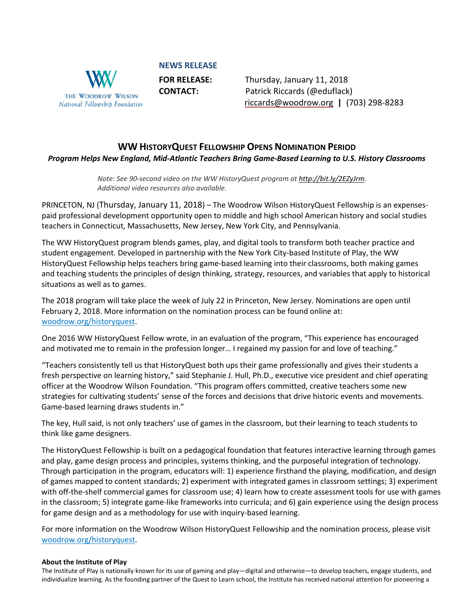

**NEWS RELEASE**

**FOR RELEASE:** Thursday, January 11, 2018 **CONTACT:** Patrick Riccards (@eduflack) [riccards@woodrow.org](mailto:riccards@woodrow.org) **|** (703) 298-8283

## **WW HISTORYQUEST FELLOWSHIP OPENS NOMINATION PERIOD** *Program Helps New England, Mid-Atlantic Teachers Bring Game-Based Learning to U.S. History Classrooms*

*Note: See 90-second video on the WW HistoryQuest program at [http://bit.ly/2EZyJrm.](http://bit.ly/2EZyJrm) Additional video resources also available.*

PRINCETON, NJ (Thursday, January 11, 2018) – The Woodrow Wilson HistoryQuest Fellowship is an expensespaid professional development opportunity open to middle and high school American history and social studies teachers in Connecticut, Massachusetts, New Jersey, New York City, and Pennsylvania.

The WW HistoryQuest program blends games, play, and digital tools to transform both teacher practice and student engagement. Developed in partnership with the New York City-based Institute of Play, the WW HistoryQuest Fellowship helps teachers bring game-based learning into their classrooms, both making games and teaching students the principles of design thinking, strategy, resources, and variables that apply to historical situations as well as to games.

The 2018 program will take place the week of July 22 in Princeton, New Jersey. Nominations are open until February 2, 2018. More information on the nomination process can be found online at: [woodrow.org/historyquest.](http://www.woodrow.org/historyquest)

One 2016 WW HistoryQuest Fellow wrote, in an evaluation of the program, "This experience has encouraged and motivated me to remain in the profession longer… I regained my passion for and love of teaching."

"Teachers consistently tell us that HistoryQuest both ups their game professionally and gives their students a fresh perspective on learning history," said Stephanie J. Hull, Ph.D., executive vice president and chief operating officer at the Woodrow Wilson Foundation. "This program offers committed, creative teachers some new strategies for cultivating students' sense of the forces and decisions that drive historic events and movements. Game-based learning draws students in."

The key, Hull said, is not only teachers' use of games in the classroom, but their learning to teach students to think like game designers.

The HistoryQuest Fellowship is built on a pedagogical foundation that features interactive learning through games and play, game design process and principles, systems thinking, and the purposeful integration of technology. Through participation in the program, educators will: 1) experience firsthand the playing, modification, and design of games mapped to content standards; 2) experiment with integrated games in classroom settings; 3) experiment with off-the-shelf commercial games for classroom use; 4) learn how to create assessment tools for use with games in the classroom; 5) integrate game-like frameworks into curricula; and 6) gain experience using the design process for game design and as a methodology for use with inquiry-based learning.

For more information on the Woodrow Wilson HistoryQuest Fellowship and the nomination process, please visit [woodrow.org/historyquest.](http://www.woodrow.org/historyquest)

## **About the Institute of Play**

The Institute of Play is nationally known for its use of gaming and play—digital and otherwise—to develop teachers, engage students, and individualize learning. As the founding partner of the Quest to Learn school, the Institute has received national attention for pioneering a